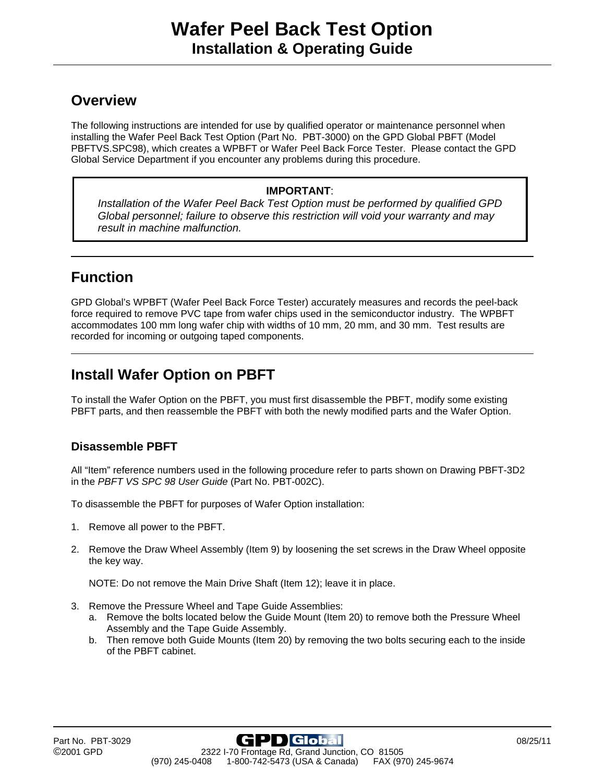### **Overview**

The following instructions are intended for use by qualified operator or maintenance personnel when installing the Wafer Peel Back Test Option (Part No. PBT-3000) on the GPD Global PBFT (Model PBFTVS.SPC98), which creates a WPBFT or Wafer Peel Back Force Tester. Please contact the GPD Global Service Department if you encounter any problems during this procedure.

#### **IMPORTANT**:

*Installation of the Wafer Peel Back Test Option must be performed by qualified GPD Global personnel; failure to observe this restriction will void your warranty and may result in machine malfunction.* 

# **Function**

GPD Global's WPBFT (Wafer Peel Back Force Tester) accurately measures and records the peel-back force required to remove PVC tape from wafer chips used in the semiconductor industry. The WPBFT accommodates 100 mm long wafer chip with widths of 10 mm, 20 mm, and 30 mm. Test results are recorded for incoming or outgoing taped components.

## **Install Wafer Option on PBFT**

To install the Wafer Option on the PBFT, you must first disassemble the PBFT, modify some existing PBFT parts, and then reassemble the PBFT with both the newly modified parts and the Wafer Option.

#### **Disassemble PBFT**

All "Item" reference numbers used in the following procedure refer to parts shown on Drawing PBFT-3D2 in the *PBFT VS SPC 98 User Guide* (Part No. PBT-002C).

To disassemble the PBFT for purposes of Wafer Option installation:

- 1. Remove all power to the PBFT.
- 2. Remove the Draw Wheel Assembly (Item 9) by loosening the set screws in the Draw Wheel opposite the key way.

NOTE: Do not remove the Main Drive Shaft (Item 12); leave it in place.

- 3. Remove the Pressure Wheel and Tape Guide Assemblies:
	- a. Remove the bolts located below the Guide Mount (Item 20) to remove both the Pressure Wheel Assembly and the Tape Guide Assembly.
	- b. Then remove both Guide Mounts (Item 20) by removing the two bolts securing each to the inside of the PBFT cabinet.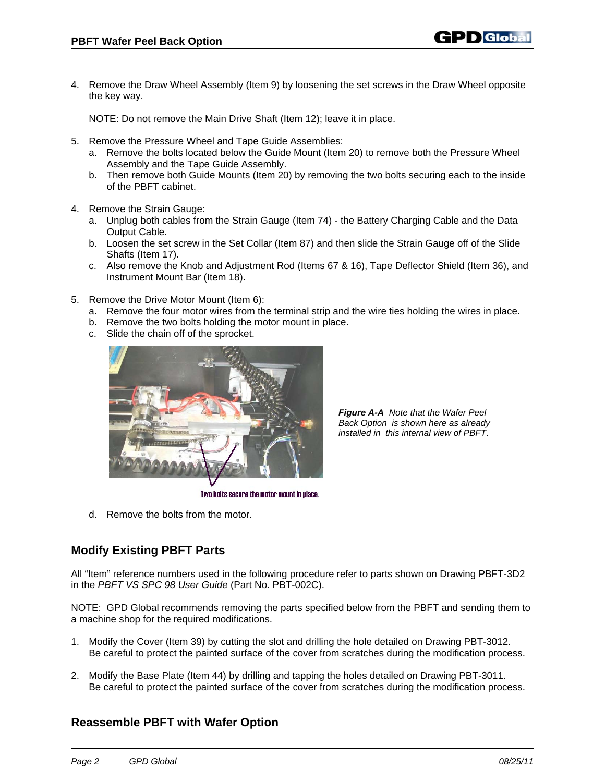4. Remove the Draw Wheel Assembly (Item 9) by loosening the set screws in the Draw Wheel opposite the key way.

NOTE: Do not remove the Main Drive Shaft (Item 12); leave it in place.

- 5. Remove the Pressure Wheel and Tape Guide Assemblies:
	- a. Remove the bolts located below the Guide Mount (Item 20) to remove both the Pressure Wheel Assembly and the Tape Guide Assembly.
	- b. Then remove both Guide Mounts (Item 20) by removing the two bolts securing each to the inside of the PBFT cabinet.
- 4. Remove the Strain Gauge:
	- a. Unplug both cables from the Strain Gauge (Item 74) the Battery Charging Cable and the Data Output Cable.
	- b. Loosen the set screw in the Set Collar (Item 87) and then slide the Strain Gauge off of the Slide Shafts (Item 17).
	- c. Also remove the Knob and Adjustment Rod (Items 67 & 16), Tape Deflector Shield (Item 36), and Instrument Mount Bar (Item 18).
- 5. Remove the Drive Motor Mount (Item 6):
	- a. Remove the four motor wires from the terminal strip and the wire ties holding the wires in place.
	- b. Remove the two bolts holding the motor mount in place.
	- c. Slide the chain off of the sprocket.



*Figure A-A Note that the Wafer Peel Back Option is shown here as already installed in this internal view of PBFT*.

Two bolts secure the motor mount in place.

d. Remove the bolts from the motor.

### **Modify Existing PBFT Parts**

All "Item" reference numbers used in the following procedure refer to parts shown on Drawing PBFT-3D2 in the *PBFT VS SPC 98 User Guide* (Part No. PBT-002C).

NOTE: GPD Global recommends removing the parts specified below from the PBFT and sending them to a machine shop for the required modifications.

- 1. Modify the Cover (Item 39) by cutting the slot and drilling the hole detailed on Drawing PBT-3012. Be careful to protect the painted surface of the cover from scratches during the modification process.
- 2. Modify the Base Plate (Item 44) by drilling and tapping the holes detailed on Drawing PBT-3011. Be careful to protect the painted surface of the cover from scratches during the modification process.

### **Reassemble PBFT with Wafer Option**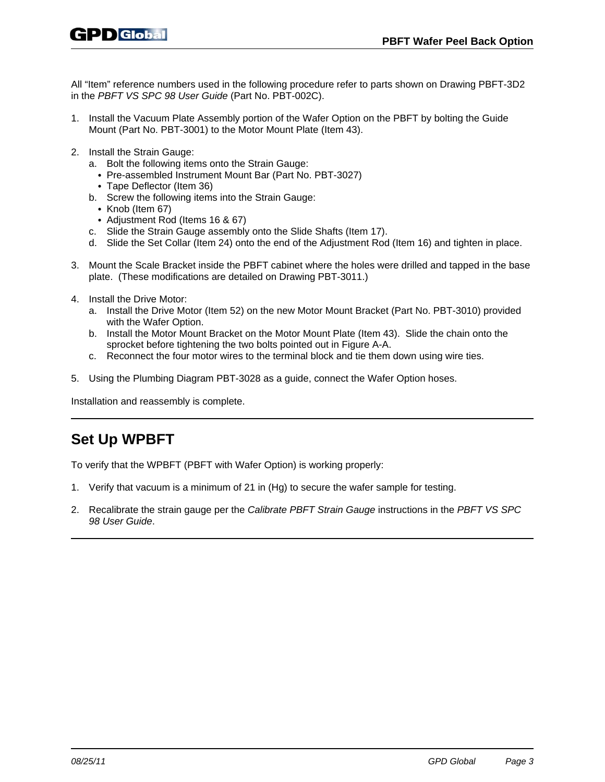All "Item" reference numbers used in the following procedure refer to parts shown on Drawing PBFT-3D2 in the *PBFT VS SPC 98 User Guide* (Part No. PBT-002C).

- 1. Install the Vacuum Plate Assembly portion of the Wafer Option on the PBFT by bolting the Guide Mount (Part No. PBT-3001) to the Motor Mount Plate (Item 43).
- 2. Install the Strain Gauge:
	- a. Bolt the following items onto the Strain Gauge:
		- Pre-assembled Instrument Mount Bar (Part No. PBT-3027)
		- Tape Deflector (Item 36)
	- b. Screw the following items into the Strain Gauge:
		- $\cdot$  Knob (Item 67)
	- Adjustment Rod (Items 16 & 67)
	- c. Slide the Strain Gauge assembly onto the Slide Shafts (Item 17).
	- d. Slide the Set Collar (Item 24) onto the end of the Adjustment Rod (Item 16) and tighten in place.
- 3. Mount the Scale Bracket inside the PBFT cabinet where the holes were drilled and tapped in the base plate. (These modifications are detailed on Drawing PBT-3011.)
- 4. Install the Drive Motor:
	- a. Install the Drive Motor (Item 52) on the new Motor Mount Bracket (Part No. PBT-3010) provided with the Wafer Option.
	- b. Install the Motor Mount Bracket on the Motor Mount Plate (Item 43). Slide the chain onto the sprocket before tightening the two bolts pointed out in Figure A-A.
	- c. Reconnect the four motor wires to the terminal block and tie them down using wire ties.
- 5. Using the Plumbing Diagram PBT-3028 as a guide, connect the Wafer Option hoses.

Installation and reassembly is complete.

## **Set Up WPBFT**

To verify that the WPBFT (PBFT with Wafer Option) is working properly:

- 1. Verify that vacuum is a minimum of 21 in (Hg) to secure the wafer sample for testing.
- 2. Recalibrate the strain gauge per the *Calibrate PBFT Strain Gauge* instructions in the *PBFT VS SPC 98 User Guide*.